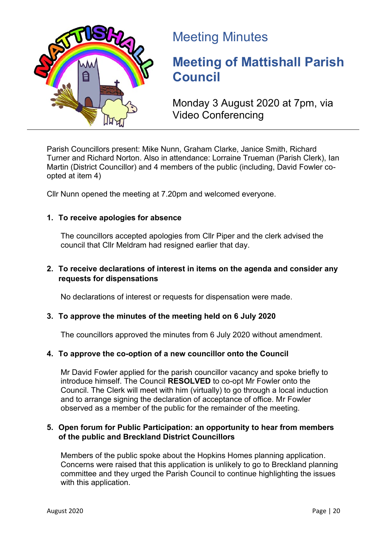

# Meeting Minutes

# **Meeting of Mattishall Parish Council**

Monday 3 August 2020 at 7pm, via Video Conferencing

Parish Councillors present: Mike Nunn, Graham Clarke, Janice Smith, Richard Turner and Richard Norton. Also in attendance: Lorraine Trueman (Parish Clerk), Ian Martin (District Councillor) and 4 members of the public (including, David Fowler coopted at item 4)

Cllr Nunn opened the meeting at 7.20pm and welcomed everyone.

# **1. To receive apologies for absence**

The councillors accepted apologies from Cllr Piper and the clerk advised the council that Cllr Meldram had resigned earlier that day.

#### **2. To receive declarations of interest in items on the agenda and consider any requests for dispensations**

No declarations of interest or requests for dispensation were made.

#### **3. To approve the minutes of the meeting held on 6 July 2020**

The councillors approved the minutes from 6 July 2020 without amendment.

#### **4. To approve the co-option of a new councillor onto the Council**

Mr David Fowler applied for the parish councillor vacancy and spoke briefly to introduce himself. The Council **RESOLVED** to co-opt Mr Fowler onto the Council. The Clerk will meet with him (virtually) to go through a local induction and to arrange signing the declaration of acceptance of office. Mr Fowler observed as a member of the public for the remainder of the meeting.

#### **5. Open forum for Public Participation: an opportunity to hear from members of the public and Breckland District Councillors**

Members of the public spoke about the Hopkins Homes planning application. Concerns were raised that this application is unlikely to go to Breckland planning committee and they urged the Parish Council to continue highlighting the issues with this application.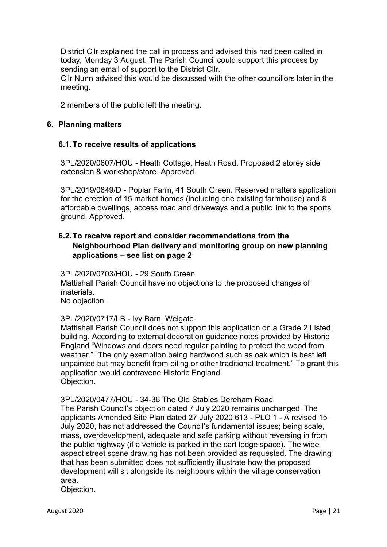District Cllr explained the call in process and advised this had been called in today, Monday 3 August. The Parish Council could support this process by sending an email of support to the District Cllr.

Cllr Nunn advised this would be discussed with the other councillors later in the meeting.

2 members of the public left the meeting.

#### **6. Planning matters**

#### **6.1.To receive results of applications**

3PL/2020/0607/HOU - Heath Cottage, Heath Road. Proposed 2 storey side extension & workshop/store. Approved.

3PL/2019/0849/D - Poplar Farm, 41 South Green. Reserved matters application for the erection of 15 market homes (including one existing farmhouse) and 8 affordable dwellings, access road and driveways and a public link to the sports ground. Approved.

# **6.2.To receive report and consider recommendations from the Neighbourhood Plan delivery and monitoring group on new planning applications – see list on page 2**

3PL/2020/0703/HOU - 29 South Green Mattishall Parish Council have no objections to the proposed changes of materials. No objection.

#### 3PL/2020/0717/LB - Ivy Barn, Welgate

Mattishall Parish Council does not support this application on a Grade 2 Listed building. According to external decoration guidance notes provided by Historic England "Windows and doors need regular painting to protect the wood from weather." "The only exemption being hardwood such as oak which is best left unpainted but may benefit from oiling or other traditional treatment." To grant this application would contravene Historic England. Objection.

3PL/2020/0477/HOU - 34-36 The Old Stables Dereham Road

The Parish Council's objection dated 7 July 2020 remains unchanged. The applicants Amended Site Plan dated 27 July 2020 613 - PLO 1 - A revised 15 July 2020, has not addressed the Council's fundamental issues; being scale, mass, overdevelopment, adequate and safe parking without reversing in from the public highway (if a vehicle is parked in the cart lodge space). The wide aspect street scene drawing has not been provided as requested. The drawing that has been submitted does not sufficiently illustrate how the proposed development will sit alongside its neighbours within the village conservation area.

Objection.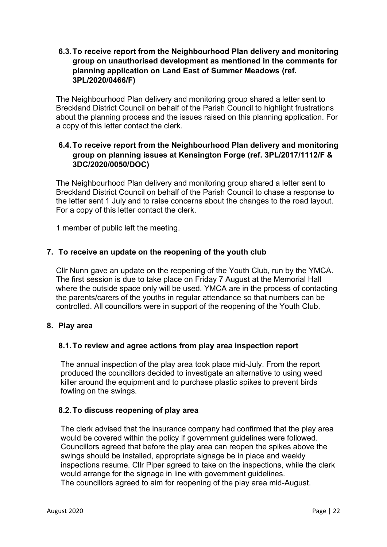### **6.3.To receive report from the Neighbourhood Plan delivery and monitoring group on unauthorised development as mentioned in the comments for planning application on Land East of Summer Meadows (ref. 3PL/2020/0466/F)**

The Neighbourhood Plan delivery and monitoring group shared a letter sent to Breckland District Council on behalf of the Parish Council to highlight frustrations about the planning process and the issues raised on this planning application. For a copy of this letter contact the clerk.

### **6.4.To receive report from the Neighbourhood Plan delivery and monitoring group on planning issues at Kensington Forge (ref. 3PL/2017/1112/F & 3DC/2020/0050/DOC)**

The Neighbourhood Plan delivery and monitoring group shared a letter sent to Breckland District Council on behalf of the Parish Council to chase a response to the letter sent 1 July and to raise concerns about the changes to the road layout. For a copy of this letter contact the clerk.

1 member of public left the meeting.

#### **7. To receive an update on the reopening of the youth club**

Cllr Nunn gave an update on the reopening of the Youth Club, run by the YMCA. The first session is due to take place on Friday 7 August at the Memorial Hall where the outside space only will be used. YMCA are in the process of contacting the parents/carers of the youths in regular attendance so that numbers can be controlled. All councillors were in support of the reopening of the Youth Club.

#### **8. Play area**

#### **8.1.To review and agree actions from play area inspection report**

The annual inspection of the play area took place mid-July. From the report produced the councillors decided to investigate an alternative to using weed killer around the equipment and to purchase plastic spikes to prevent birds fowling on the swings.

#### **8.2.To discuss reopening of play area**

The clerk advised that the insurance company had confirmed that the play area would be covered within the policy if government guidelines were followed. Councillors agreed that before the play area can reopen the spikes above the swings should be installed, appropriate signage be in place and weekly inspections resume. Cllr Piper agreed to take on the inspections, while the clerk would arrange for the signage in line with government guidelines. The councillors agreed to aim for reopening of the play area mid-August.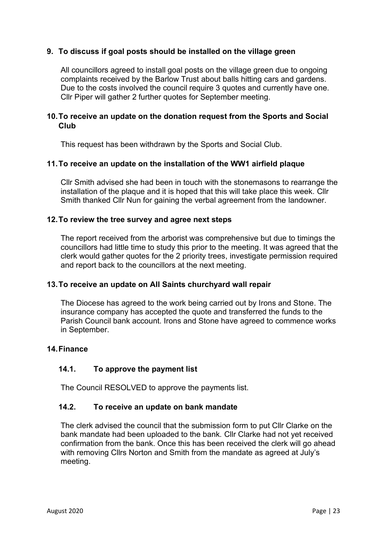#### **9. To discuss if goal posts should be installed on the village green**

All councillors agreed to install goal posts on the village green due to ongoing complaints received by the Barlow Trust about balls hitting cars and gardens. Due to the costs involved the council require 3 quotes and currently have one. Cllr Piper will gather 2 further quotes for September meeting.

#### **10.To receive an update on the donation request from the Sports and Social Club**

This request has been withdrawn by the Sports and Social Club.

#### **11.To receive an update on the installation of the WW1 airfield plaque**

Cllr Smith advised she had been in touch with the stonemasons to rearrange the installation of the plaque and it is hoped that this will take place this week. Cllr Smith thanked Cllr Nun for gaining the verbal agreement from the landowner.

#### **12.To review the tree survey and agree next steps**

The report received from the arborist was comprehensive but due to timings the councillors had little time to study this prior to the meeting. It was agreed that the clerk would gather quotes for the 2 priority trees, investigate permission required and report back to the councillors at the next meeting.

#### **13.To receive an update on All Saints churchyard wall repair**

The Diocese has agreed to the work being carried out by Irons and Stone. The insurance company has accepted the quote and transferred the funds to the Parish Council bank account. Irons and Stone have agreed to commence works in September.

#### **14.Finance**

#### **14.1. To approve the payment list**

The Council RESOLVED to approve the payments list.

#### **14.2. To receive an update on bank mandate**

The clerk advised the council that the submission form to put Cllr Clarke on the bank mandate had been uploaded to the bank. Cllr Clarke had not yet received confirmation from the bank. Once this has been received the clerk will go ahead with removing Cllrs Norton and Smith from the mandate as agreed at July's meeting.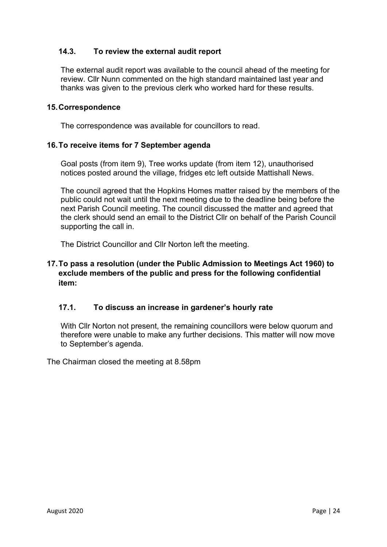### **14.3. To review the external audit report**

The external audit report was available to the council ahead of the meeting for review. Cllr Nunn commented on the high standard maintained last year and thanks was given to the previous clerk who worked hard for these results.

#### **15.Correspondence**

The correspondence was available for councillors to read.

#### **16.To receive items for 7 September agenda**

Goal posts (from item 9), Tree works update (from item 12), unauthorised notices posted around the village, fridges etc left outside Mattishall News.

The council agreed that the Hopkins Homes matter raised by the members of the public could not wait until the next meeting due to the deadline being before the next Parish Council meeting. The council discussed the matter and agreed that the clerk should send an email to the District Cllr on behalf of the Parish Council supporting the call in.

The District Councillor and Cllr Norton left the meeting.

# **17.To pass a resolution (under the Public Admission to Meetings Act 1960) to exclude members of the public and press for the following confidential item:**

#### **17.1. To discuss an increase in gardener's hourly rate**

With Cllr Norton not present, the remaining councillors were below quorum and therefore were unable to make any further decisions. This matter will now move to September's agenda.

The Chairman closed the meeting at 8.58pm